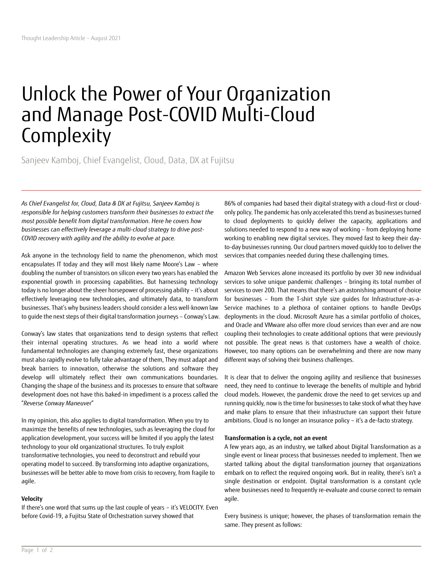# Unlock the Power of Your Organization and Manage Post-COVID Multi-Cloud **Complexity**

Sanjeev Kamboj, Chief Evangelist, Cloud, Data, DX at Fujitsu

*As Chief Evangelist for, Cloud, Data & DX at Fujitsu, Sanjeev Kamboj is responsible for helping customers transform their businesses to extract the most possible benefit from digital transformation. Here he covers how businesses can effectively leverage a multi-cloud strategy to drive post-COVID recovery with agility and the ability to evolve at pace.* 

Ask anyone in the technology field to name the phenomenon, which most encapsulates IT today and they will most likely name Moore's Law – where doubling the number of transistors on silicon every two years has enabled the exponential growth in processing capabilities. But harnessing technology today is no longer about the sheer horsepower of processing ability – it's about effectively leveraging new technologies, and ultimately data, to transform businesses. That's why business leaders should consider a less well-known law to guide the next steps of their digital transformation journeys – Conway's Law.

Conway's law states that organizations tend to design systems that reflect their internal operating structures. As we head into a world where fundamental technologies are changing extremely fast, these organizations must also rapidly evolve to fully take advantage of them, They must adapt and break barriers to innovation, otherwise the solutions and software they develop will ultimately reflect their own communications boundaries. Changing the shape of the business and its processes to ensure that software development does not have this baked-in impediment is a process called the "*Reverse Conway Maneuver*"

In my opinion, this also applies to digital transformation. When you try to maximize the benefits of new technologies, such as leveraging the cloud for application development, your success will be limited if you apply the latest technology to your old organizational structures. To truly exploit transformative technologies, you need to deconstruct and rebuild your operating model to succeed. By transforming into adaptive organizations, businesses will be better able to move from crisis to recovery, from fragile to agile.

# **Velocity**

If there's one word that sums up the last couple of years – it's VELOCITY. Even before Covid-19, a Fujits[u State of Orchestration survey](https://www.stateoforchestration.com/) showed that

86% of companies had based their digital strategy with a cloud-first or cloudonly policy. The pandemic has only accelerated this trend as businesses turned to cloud deployments to quickly deliver the capacity, applications and solutions needed to respond to a new way of working – from deploying home working to enabling new digital services. They moved fast to keep their dayto-day businesses running. Our cloud partners moved quickly too to deliver the services that companies needed during these challenging times.

Amazon Web Services alone increased its portfolio by over 30 new individual services to solve unique pandemic challenges – bringing its total number of services to over 200. That means that there's an astonishing amount of choice for businesses – from the T-shirt style size guides for Infrastructure-as-a-Service machines to a plethora of container options to handle DevOps deployments in the cloud. Microsoft Azure has a similar portfolio of choices, and Oracle and VMware also offer more cloud services than ever and are now coupling their technologies to create additional options that were previously not possible. The great news is that customers have a wealth of choice. However, too many options can be overwhelming and there are now many different ways of solving their business challenges.

It is clear that to deliver the ongoing agility and resilience that businesses need, they need to continue to leverage the benefits of multiple and hybrid cloud models. However, the pandemic drove the need to get services up and running quickly, now is the time for businesses to take stock of what they have and make plans to ensure that their infrastructure can support their future ambitions. Cloud is no longer an insurance policy – it's a de-facto strategy.

## **Transformation is a cycle, not an event**

A few years ago, as an industry, we talked about Digital Transformation as a single event or linear process that businesses needed to implement. Then we started talking about the digital transformation journey that organizations embark on to reflect the required ongoing work. But in reality, there's isn't a single destination or endpoint. Digital transformation is a constant cycle where businesses need to frequently re-evaluate and course correct to remain agile.

Every business is unique; however, the phases of transformation remain the same. They present as follows: